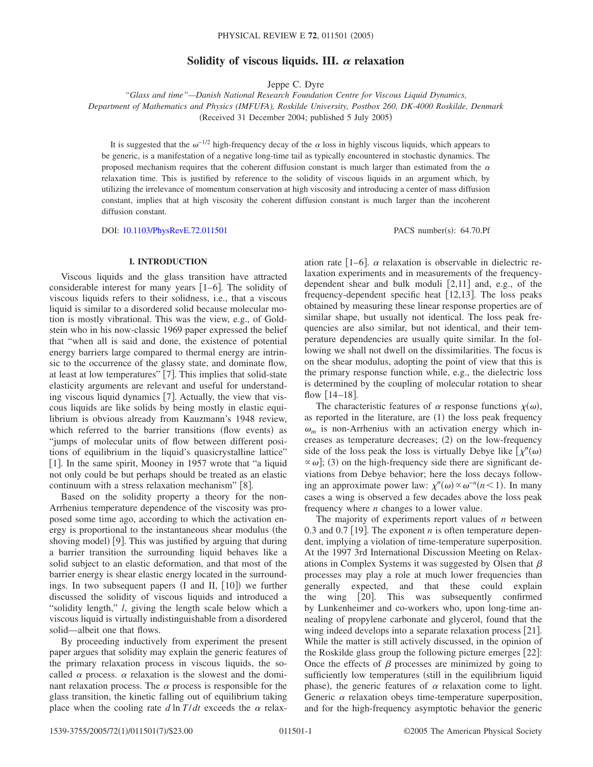# Solidity of viscous liquids. III.  $\alpha$  relaxation

Jeppe C. Dyre

*"Glass and time"—Danish National Research Foundation Centre for Viscous Liquid Dynamics, Department of Mathematics and Physics (IMFUFA), Roskilde University, Postbox 260, DK-4000 Roskilde, Denmark* (Received 31 December 2004; published 5 July 2005)

It is suggested that the  $\omega^{-1/2}$  high-frequency decay of the  $\alpha$  loss in highly viscous liquids, which appears to be generic, is a manifestation of a negative long-time tail as typically encountered in stochastic dynamics. The proposed mechanism requires that the coherent diffusion constant is much larger than estimated from the  $\alpha$ relaxation time. This is justified by reference to the solidity of viscous liquids in an argument which, by utilizing the irrelevance of momentum conservation at high viscosity and introducing a center of mass diffusion constant, implies that at high viscosity the coherent diffusion constant is much larger than the incoherent diffusion constant.

DOI: [10.1103/PhysRevE.72.011501](http://dx.doi.org/10.1103/PhysRevE.72.011501)

PACS number(s): 64.70.Pf

## **I. INTRODUCTION**

Viscous liquids and the glass transition have attracted considerable interest for many years  $[1-6]$ . The solidity of viscous liquids refers to their solidness, i.e., that a viscous liquid is similar to a disordered solid because molecular motion is mostly vibrational. This was the view, e.g., of Goldstein who in his now-classic 1969 paper expressed the belief that "when all is said and done, the existence of potential energy barriers large compared to thermal energy are intrinsic to the occurrence of the glassy state, and dominate flow, at least at low temperatures"  $[7]$ . This implies that solid-state elasticity arguments are relevant and useful for understanding viscous liquid dynamics  $[7]$ . Actually, the view that viscous liquids are like solids by being mostly in elastic equilibrium is obvious already from Kauzmann's 1948 review, which referred to the barrier transitions (flow events) as "jumps of molecular units of flow between different positions of equilibrium in the liquid's quasicrystalline lattice" [1]. In the same spirit, Mooney in 1957 wrote that "a liquid not only could be but perhaps should be treated as an elastic continuum with a stress relaxation mechanism" [8].

Based on the solidity property a theory for the non-Arrhenius temperature dependence of the viscosity was proposed some time ago, according to which the activation energy is proportional to the instantaneous shear modulus (the shoving model) [9]. This was justified by arguing that during a barrier transition the surrounding liquid behaves like a solid subject to an elastic deformation, and that most of the barrier energy is shear elastic energy located in the surroundings. In two subsequent papers (I and II, [10]) we further discussed the solidity of viscous liquids and introduced a "solidity length," *l*, giving the length scale below which a viscous liquid is virtually indistinguishable from a disordered solid—albeit one that flows.

By proceeding inductively from experiment the present paper argues that solidity may explain the generic features of the primary relaxation process in viscous liquids, the socalled  $\alpha$  process.  $\alpha$  relaxation is the slowest and the dominant relaxation process. The  $\alpha$  process is responsible for the glass transition, the kinetic falling out of equilibrium taking place when the cooling rate  $d \ln T/dt$  exceeds the  $\alpha$  relax-

ation rate  $[1-6]$ .  $\alpha$  relaxation is observable in dielectric relaxation experiments and in measurements of the frequencydependent shear and bulk moduli  $[2,11]$  and, e.g., of the frequency-dependent specific heat  $[12,13]$ . The loss peaks obtained by measuring these linear response properties are of similar shape, but usually not identical. The loss peak frequencies are also similar, but not identical, and their temperature dependencies are usually quite similar. In the following we shall not dwell on the dissimilarities. The focus is on the shear modulus, adopting the point of view that this is the primary response function while, e.g., the dielectric loss is determined by the coupling of molecular rotation to shear flow  $[14–18]$ .

The characteristic features of  $\alpha$  response functions  $\chi(\omega)$ , as reported in the literature, are  $(1)$  the loss peak frequency  $\omega_m$  is non-Arrhenius with an activation energy which increases as temperature decreases; (2) on the low-frequency side of the loss peak the loss is virtually Debye like  $[\chi''(\omega)]$  $\alpha$  (3) on the high-frequency side there are significant deviations from Debye behavior; here the loss decays following an approximate power law:  $\chi''(\omega) \propto \omega^{-n}(n \le 1)$ . In many cases a wing is observed a few decades above the loss peak frequency where *n* changes to a lower value.

The majority of experiments report values of *n* between 0.3 and 0.7 [19]. The exponent *n* is often temperature dependent, implying a violation of time-temperature superposition. At the 1997 3rd International Discussion Meeting on Relaxations in Complex Systems it was suggested by Olsen that  $\beta$ processes may play a role at much lower frequencies than generally expected, and that these could explain the wing [20]. This was subsequently confirmed by Lunkenheimer and co-workers who, upon long-time annealing of propylene carbonate and glycerol, found that the wing indeed develops into a separate relaxation process [21]. While the matter is still actively discussed, in the opinion of the Roskilde glass group the following picture emerges  $[22]$ : Once the effects of  $\beta$  processes are minimized by going to sufficiently low temperatures (still in the equilibrium liquid phase), the generic features of  $\alpha$  relaxation come to light. Generic  $\alpha$  relaxation obeys time-temperature superposition, and for the high-frequency asymptotic behavior the generic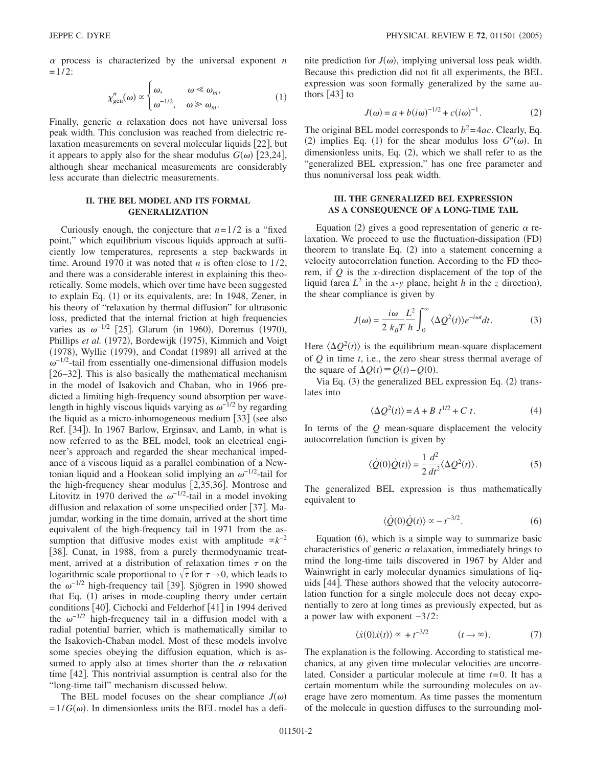$\alpha$  process is characterized by the universal exponent  $n$  $=1/2$ :

$$
\chi''_{\text{gen}}(\omega) \propto \begin{cases} \omega, & \omega \ll \omega_m, \\ \omega^{-1/2}, & \omega \gg \omega_m. \end{cases}
$$
 (1)

Finally, generic  $\alpha$  relaxation does not have universal loss peak width. This conclusion was reached from dielectric relaxation measurements on several molecular liquids [22], but it appears to apply also for the shear modulus  $G(\omega)$  [23,24], although shear mechanical measurements are considerably less accurate than dielectric measurements.

# **II. THE BEL MODEL AND ITS FORMAL GENERALIZATION**

Curiously enough, the conjecture that  $n=1/2$  is a "fixed" point," which equilibrium viscous liquids approach at sufficiently low temperatures, represents a step backwards in time. Around 1970 it was noted that *n* is often close to 1/2, and there was a considerable interest in explaining this theoretically. Some models, which over time have been suggested to explain Eq. (1) or its equivalents, are: In 1948, Zener, in his theory of "relaxation by thermal diffusion" for ultrasonic loss, predicted that the internal friction at high frequencies varies as  $\omega^{-1/2}$  [25]. Glarum (in 1960), Doremus (1970), Phillips et al. (1972), Bordewijk (1975), Kimmich and Voigt (1978), Wyllie (1979), and Condat (1989) all arrived at the  $\omega^{-1/2}$ -tail from essentially one-dimensional diffusion models  $[26-32]$ . This is also basically the mathematical mechanism in the model of Isakovich and Chaban, who in 1966 predicted a limiting high-frequency sound absorption per wavelength in highly viscous liquids varying as  $\omega^{-1/2}$  by regarding the liquid as a micro-inhomogeneous medium  $\left[33\right]$  (see also Ref. [34]). In 1967 Barlow, Erginsav, and Lamb, in what is now referred to as the BEL model, took an electrical engineer's approach and regarded the shear mechanical impedance of a viscous liquid as a parallel combination of a Newtonian liquid and a Hookean solid implying an  $\omega^{-1/2}$ -tail for the high-frequency shear modulus  $\left[2,35,36\right]$ . Montrose and Litovitz in 1970 derived the  $\omega^{-1/2}$ -tail in a model invoking diffusion and relaxation of some unspecified order [37]. Majumdar, working in the time domain, arrived at the short time equivalent of the high-frequency tail in 1971 from the assumption that diffusive modes exist with amplitude  $\alpha k^{-2}$ [38]. Cunat, in 1988, from a purely thermodynamic treatment, arrived at a distribution of relaxation times  $\tau$  on the logarithmic scale proportional to  $\sqrt{\tau}$  for  $\tau \rightarrow 0$ , which leads to the  $\omega^{-1/2}$  high-frequency tail [39]. Sjögren in 1990 showed that Eq. (1) arises in mode-coupling theory under certain conditions [40]. Cichocki and Felderhof [41] in 1994 derived the  $\omega^{-1/2}$  high-frequency tail in a diffusion model with a radial potential barrier, which is mathematically similar to the Isakovich-Chaban model. Most of these models involve some species obeying the diffusion equation, which is assumed to apply also at times shorter than the  $\alpha$  relaxation time  $|42|$ . This nontrivial assumption is central also for the "long-time tail" mechanism discussed below.

The BEL model focuses on the shear compliance  $J(\omega)$  $=1/G(\omega)$ . In dimensionless units the BEL model has a defi-

nite prediction for  $J(\omega)$ , implying universal loss peak width. Because this prediction did not fit all experiments, the BEL expression was soon formally generalized by the same authors  $[43]$  to

$$
J(\omega) = a + b(i\omega)^{-1/2} + c(i\omega)^{-1}.
$$
 (2)

The original BEL model corresponds to  $b^2 = 4ac$ . Clearly, Eq. (2) implies Eq. (1) for the shear modulus loss  $G''(\omega)$ . In dimensionless units, Eq. (2), which we shall refer to as the "generalized BEL expression," has one free parameter and thus nonuniversal loss peak width.

#### **III. THE GENERALIZED BEL EXPRESSION AS A CONSEQUENCE OF A LONG-TIME TAIL**

Equation (2) gives a good representation of generic  $\alpha$  relaxation. We proceed to use the fluctuation-dissipation (FD) theorem to translate Eq.  $(2)$  into a statement concerning a velocity autocorrelation function. According to the FD theorem, if *Q* is the *x*-direction displacement of the top of the liquid (area  $L^2$  in the *x*-*y* plane, height *h* in the *z* direction), the shear compliance is given by

$$
J(\omega) = \frac{i\omega}{2 k_B T} \frac{L^2}{h} \int_0^\infty \langle \Delta Q^2(t) \rangle e^{-i\omega t} dt.
$$
 (3)

Here  $\langle \Delta Q^2(t) \rangle$  is the equilibrium mean-square displacement of *Q* in time *t*, i.e., the zero shear stress thermal average of the square of  $\Delta Q(t) \equiv Q(t) - Q(0)$ .

Via Eq. (3) the generalized BEL expression Eq. (2) translates into

$$
\langle \Delta Q^2(t) \rangle = A + B t^{1/2} + C t. \tag{4}
$$

In terms of the *Q* mean-square displacement the velocity autocorrelation function is given by

$$
\langle \dot{Q}(0)\dot{Q}(t)\rangle = \frac{1}{2}\frac{d^2}{dt^2} \langle \Delta Q^2(t)\rangle.
$$
 (5)

The generalized BEL expression is thus mathematically equivalent to

$$
\langle \dot{Q}(0)\dot{Q}(t)\rangle \propto -t^{-3/2}.\tag{6}
$$

Equation (6), which is a simple way to summarize basic characteristics of generic  $\alpha$  relaxation, immediately brings to mind the long-time tails discovered in 1967 by Alder and Wainwright in early molecular dynamics simulations of liquids [44]. These authors showed that the velocity autocorrelation function for a single molecule does not decay exponentially to zero at long times as previously expected, but as a power law with exponent −3/2:

$$
\langle \dot{x}(0)\dot{x}(t)\rangle \propto + t^{-3/2} \qquad (t \to \infty). \tag{7}
$$

The explanation is the following. According to statistical mechanics, at any given time molecular velocities are uncorrelated. Consider a particular molecule at time *t*=0. It has a certain momentum while the surrounding molecules on average have zero momentum. As time passes the momentum of the molecule in question diffuses to the surrounding mol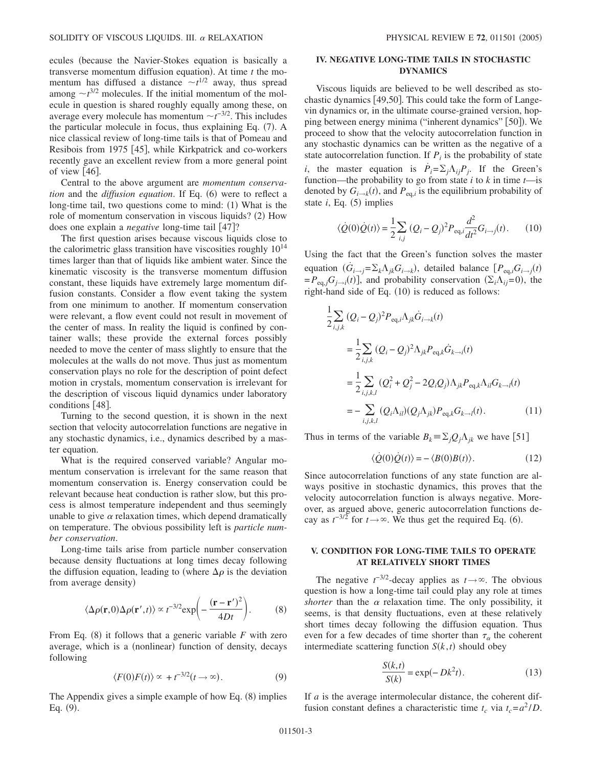ecules (because the Navier-Stokes equation is basically a transverse momentum diffusion equation). At time *t* the momentum has diffused a distance  $\sim t^{1/2}$  away, thus spread among  $\sim t^{3/2}$  molecules. If the initial momentum of the molecule in question is shared roughly equally among these, on average every molecule has momentum  $\sim t^{-3/2}$ . This includes the particular molecule in focus, thus explaining Eq. (7). A nice classical review of long-time tails is that of Pomeau and Resibois from 1975 [45], while Kirkpatrick and co-workers recently gave an excellent review from a more general point of view  $[46]$ .

Central to the above argument are *momentum conserva*tion and the *diffusion equation*. If Eq. (6) were to reflect a long-time tail, two questions come to mind: (1) What is the role of momentum conservation in viscous liquids? (2) How does one explain a *negative* long-time tail [47]?

The first question arises because viscous liquids close to the calorimetric glass transition have viscosities roughly  $10^{14}$ times larger than that of liquids like ambient water. Since the kinematic viscosity is the transverse momentum diffusion constant, these liquids have extremely large momentum diffusion constants. Consider a flow event taking the system from one minimum to another. If momentum conservation were relevant, a flow event could not result in movement of the center of mass. In reality the liquid is confined by container walls; these provide the external forces possibly needed to move the center of mass slightly to ensure that the molecules at the walls do not move. Thus just as momentum conservation plays no role for the description of point defect motion in crystals, momentum conservation is irrelevant for the description of viscous liquid dynamics under laboratory conditions  $[48]$ .

Turning to the second question, it is shown in the next section that velocity autocorrelation functions are negative in any stochastic dynamics, i.e., dynamics described by a master equation.

What is the required conserved variable? Angular momentum conservation is irrelevant for the same reason that momentum conservation is. Energy conservation could be relevant because heat conduction is rather slow, but this process is almost temperature independent and thus seemingly unable to give  $\alpha$  relaxation times, which depend dramatically on temperature. The obvious possibility left is *particle number conservation*.

Long-time tails arise from particle number conservation because density fluctuations at long times decay following the diffusion equation, leading to (where  $\Delta \rho$  is the deviation from average density)

$$
\langle \Delta \rho(\mathbf{r},0)\Delta \rho(\mathbf{r}',t) \rangle \propto t^{-3/2} \exp\left(-\frac{(\mathbf{r}-\mathbf{r}')^2}{4Dt}\right). \tag{8}
$$

From Eq.  $(8)$  it follows that a generic variable  $F$  with zero average, which is a (nonlinear) function of density, decays following

$$
\langle F(0)F(t)\rangle \propto +t^{-3/2}(t\to\infty). \tag{9}
$$

The Appendix gives a simple example of how Eq. (8) implies Eq.  $(9)$ .

# **IV. NEGATIVE LONG-TIME TAILS IN STOCHASTIC DYNAMICS**

Viscous liquids are believed to be well described as stochastic dynamics  $[49,50]$ . This could take the form of Langevin dynamics or, in the ultimate course-grained version, hopping between energy minima ("inherent dynamics" [50]). We proceed to show that the velocity autocorrelation function in any stochastic dynamics can be written as the negative of a state autocorrelation function. If  $P_i$  is the probability of state *i*, the master equation is  $\dot{P}_i = \sum_j \Lambda_{ij} P_j$ . If the Green's function—the probability to go from state *i* to *k* in time *t*—is denoted by  $G_{i\to k}(t)$ , and  $P_{\text{eq},i}$  is the equilibrium probability of state  $i$ , Eq.  $(5)$  implies

$$
\langle \dot{Q}(0)\dot{Q}(t)\rangle = \frac{1}{2}\sum_{i,j} (Q_i - Q_j)^2 P_{\text{eq},i} \frac{d^2}{dt^2} G_{i \to j}(t). \tag{10}
$$

Using the fact that the Green's function solves the master equation  $(G_{i\rightarrow j} = \sum_k \Lambda_{jk} G_{i\rightarrow k})$ , detailed balance  $[P_{eq,i} G_{i\rightarrow j}(t)]$  $= P_{eq,j} G_{j \to i}(t)$ , and probability conservation  $(\Sigma_i \Lambda_{ij} = 0)$ , the right-hand side of Eq.  $(10)$  is reduced as follows:

$$
\frac{1}{2} \sum_{i,j,k} (Q_i - Q_j)^2 P_{\text{eq},i} \Lambda_{jk} \dot{G}_{i \to k}(t)
$$
\n
$$
= \frac{1}{2} \sum_{i,j,k} (Q_i - Q_j)^2 \Lambda_{jk} P_{\text{eq},k} \dot{G}_{k \to i}(t)
$$
\n
$$
= \frac{1}{2} \sum_{i,j,k,l} (Q_i^2 + Q_j^2 - 2Q_iQ_j) \Lambda_{jk} P_{\text{eq},k} \Lambda_{il} G_{k \to l}(t)
$$
\n
$$
= - \sum_{i,j,k,l} (Q_i \Lambda_{il}) (Q_j \Lambda_{jk}) P_{\text{eq},k} G_{k \to l}(t).
$$
\n(11)

Thus in terms of the variable  $B_k \equiv \sum_j Q_j \Lambda_{jk}$  we have [51]

$$
\langle \dot{Q}(0)\dot{Q}(t)\rangle = -\langle B(0)B(t)\rangle.
$$
 (12)

Since autocorrelation functions of any state function are always positive in stochastic dynamics, this proves that the velocity autocorrelation function is always negative. Moreover, as argued above, generic autocorrelation functions decay as  $t^{-3/2}$  for  $t \to \infty$ . We thus get the required Eq. (6).

### **V. CONDITION FOR LONG-TIME TAILS TO OPERATE AT RELATIVELY SHORT TIMES**

The negative  $t^{-3/2}$ -decay applies as  $t \rightarrow \infty$ . The obvious question is how a long-time tail could play any role at times *shorter* than the  $\alpha$  relaxation time. The only possibility, it seems, is that density fluctuations, even at these relatively short times decay following the diffusion equation. Thus even for a few decades of time shorter than  $\tau_{\alpha}$  the coherent intermediate scattering function  $S(k, t)$  should obey

$$
\frac{S(k,t)}{S(k)} = \exp(-Dk^2t). \tag{13}
$$

If *a* is the average intermolecular distance, the coherent diffusion constant defines a characteristic time  $t_c$  via  $t_c = a^2/D$ .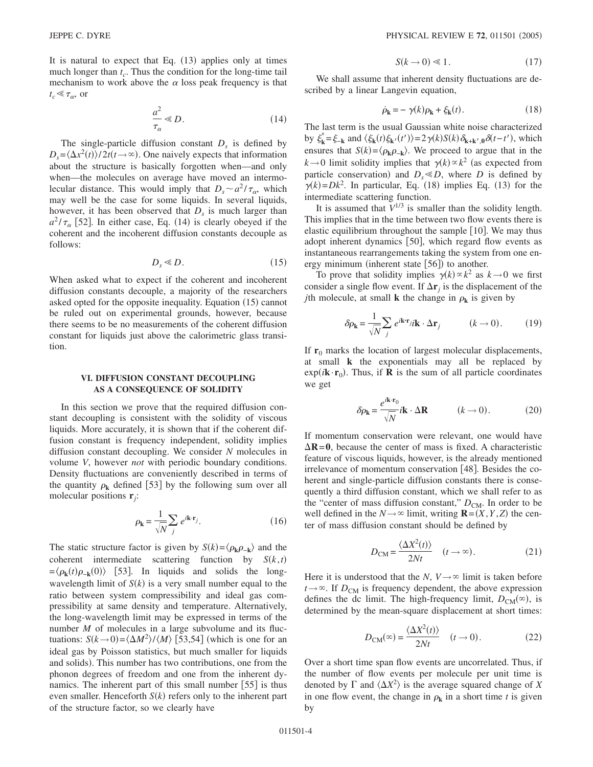It is natural to expect that Eq. (13) applies only at times much longer than  $t_c$ . Thus the condition for the long-time tail mechanism to work above the  $\alpha$  loss peak frequency is that  $t_c \ll \tau_\alpha$ , or

$$
\frac{a^2}{\tau_{\alpha}} \ll D. \tag{14}
$$

The single-particle diffusion constant  $D<sub>s</sub>$  is defined by  $D_s = \langle \Delta x^2(t) \rangle / 2t(t \rightarrow \infty)$ . One naively expects that information about the structure is basically forgotten when—and only when—the molecules on average have moved an intermolecular distance. This would imply that  $D_s \sim a^2 / \tau_\alpha$ , which may well be the case for some liquids. In several liquids, however, it has been observed that  $D<sub>s</sub>$  is much larger than  $a^2/\tau_\alpha$  [52]. In either case, Eq. (14) is clearly obeyed if the coherent and the incoherent diffusion constants decouple as follows:

$$
D_s \ll D. \tag{15}
$$

When asked what to expect if the coherent and incoherent diffusion constants decouple, a majority of the researchers asked opted for the opposite inequality. Equation (15) cannot be ruled out on experimental grounds, however, because there seems to be no measurements of the coherent diffusion constant for liquids just above the calorimetric glass transition.

# **VI. DIFFUSION CONSTANT DECOUPLING AS A CONSEQUENCE OF SOLIDITY**

In this section we prove that the required diffusion constant decoupling is consistent with the solidity of viscous liquids. More accurately, it is shown that if the coherent diffusion constant is frequency independent, solidity implies diffusion constant decoupling. We consider *N* molecules in volume *V*, however *not* with periodic boundary conditions. Density fluctuations are conveniently described in terms of the quantity  $\rho_k$  defined [53] by the following sum over all molecular positions **r***j*:

$$
\rho_{\mathbf{k}} = \frac{1}{\sqrt{N}} \sum_{j} e^{i\mathbf{k} \cdot \mathbf{r}_{j}}.
$$
 (16)

The static structure factor is given by  $S(k) = \langle \rho_k \rho_{-k} \rangle$  and the coherent intermediate scattering function by  $S(k, t)$  $=\langle \rho_{\mathbf{k}}(t)\rho_{-\mathbf{k}}(0)\rangle$  [53]. In liquids and solids the longwavelength limit of  $S(k)$  is a very small number equal to the ratio between system compressibility and ideal gas compressibility at same density and temperature. Alternatively, the long-wavelength limit may be expressed in terms of the number *M* of molecules in a large subvolume and its fluctuations:  $S(k\rightarrow 0) = \langle \Delta M^2 \rangle / \langle M \rangle$  [53,54] (which is one for an ideal gas by Poisson statistics, but much smaller for liquids and solids). This number has two contributions, one from the phonon degrees of freedom and one from the inherent dynamics. The inherent part of this small number  $[55]$  is thus even smaller. Henceforth  $S(k)$  refers only to the inherent part of the structure factor, so we clearly have

$$
S(k \to 0) \ll 1. \tag{17}
$$

We shall assume that inherent density fluctuations are described by a linear Langevin equation,

$$
\dot{\rho}_{\mathbf{k}} = -\gamma(k)\rho_{\mathbf{k}} + \xi_{\mathbf{k}}(t). \tag{18}
$$

The last term is the usual Gaussian white noise characterized by  $\xi_k^* = \xi_{-k}$  and  $\langle \xi_k(t) \xi_{k'}(t') \rangle = 2\gamma(k)S(k)\delta_{k+k',0}\delta(t-t'),$  which ensures that  $S(k) = \langle \rho_k \rho_{-k} \rangle$ . We proceed to argue that in the  $k \rightarrow 0$  limit solidity implies that  $\gamma(k) \propto k^2$  (as expected from particle conservation) and  $D_s \ll D$ , where *D* is defined by  $\gamma(k) = Dk^2$ . In particular, Eq. (18) implies Eq. (13) for the intermediate scattering function.

It is assumed that  $V^{1/3}$  is smaller than the solidity length. This implies that in the time between two flow events there is elastic equilibrium throughout the sample  $[10]$ . We may thus adopt inherent dynamics [50], which regard flow events as instantaneous rearrangements taking the system from one energy minimum (inherent state [56]) to another.

To prove that solidity implies  $\gamma(k) \propto k^2$  as  $k \to 0$  we first consider a single flow event. If  $\Delta$ **r**<sub>*j*</sub> is the displacement of the *j*th molecule, at small **k** the change in  $\rho_k$  is given by

$$
\delta \rho_{\mathbf{k}} = \frac{1}{\sqrt{N}} \sum_{j} e^{i\mathbf{k} \cdot \mathbf{r}} i\mathbf{k} \cdot \Delta \mathbf{r}_{j} \qquad (k \to 0). \qquad (19)
$$

If  $r_0$  marks the location of largest molecular displacements, at small **k** the exponentials may all be replaced by  $exp(i\mathbf{k}\cdot\mathbf{r}_0)$ . Thus, if **R** is the sum of all particle coordinates we get

$$
\delta \rho_{\mathbf{k}} = \frac{e^{i\mathbf{k}\cdot\mathbf{r}_0}}{\sqrt{N}} i\mathbf{k} \cdot \Delta \mathbf{R} \qquad (k \to 0). \tag{20}
$$

If momentum conservation were relevant, one would have  $\Delta$ **R**=**0**, because the center of mass is fixed. A characteristic feature of viscous liquids, however, is the already mentioned irrelevance of momentum conservation  $[48]$ . Besides the coherent and single-particle diffusion constants there is consequently a third diffusion constant, which we shall refer to as the "center of mass diffusion constant,"  $D_{CM}$ . In order to be well defined in the  $N \rightarrow \infty$  limit, writing **R** =  $(X, Y, Z)$  the center of mass diffusion constant should be defined by

$$
D_{\rm CM} = \frac{\langle \Delta X^2(t) \rangle}{2Nt} \quad (t \to \infty). \tag{21}
$$

Here it is understood that the *N*,  $V \rightarrow \infty$  limit is taken before  $t \rightarrow \infty$ . If  $D_{CM}$  is frequency dependent, the above expression defines the dc limit. The high-frequency limit,  $D_{CM}(\infty)$ , is determined by the mean-square displacement at short times:

$$
D_{\text{CM}}(\infty) = \frac{\langle \Delta X^2(t) \rangle}{2Nt} \quad (t \to 0). \tag{22}
$$

Over a short time span flow events are uncorrelated. Thus, if the number of flow events per molecule per unit time is denoted by  $\Gamma$  and  $\langle \Delta X^2 \rangle$  is the average squared change of X in one flow event, the change in  $\rho_k$  in a short time *t* is given by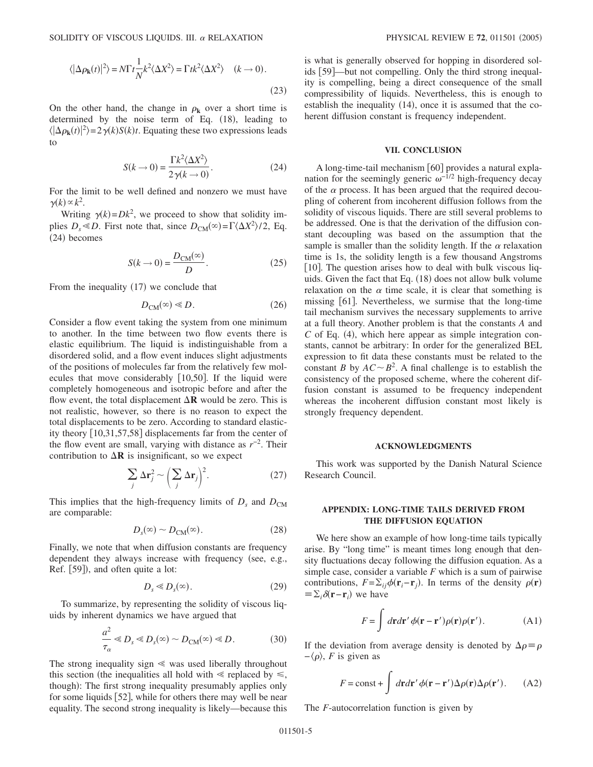$$
\langle |\Delta \rho_{\mathbf{k}}(t)|^2 \rangle = N \Gamma t \frac{1}{N} k^2 \langle \Delta X^2 \rangle = \Gamma t k^2 \langle \Delta X^2 \rangle \quad (k \to 0).
$$
\n(23)

On the other hand, the change in  $\rho_k$  over a short time is determined by the noise term of Eq.  $(18)$ , leading to  $\langle |\Delta \rho_{\bf k}(t)|^2 \rangle = 2\gamma(k)S(k)t$ . Equating these two expressions leads to

$$
S(k \to 0) = \frac{\Gamma k^2 \langle \Delta X^2 \rangle}{2 \gamma (k \to 0)}.
$$
 (24)

For the limit to be well defined and nonzero we must have  $\gamma(k) \propto k^2$ .

Writing  $\gamma(k) = Dk^2$ , we proceed to show that solidity implies  $D_s \ll D$ . First note that, since  $D_{CM}(\infty) = \Gamma(\Delta X^2)/2$ , Eq.  $(24)$  becomes

$$
S(k \to 0) = \frac{D_{\text{CM}}(\infty)}{D}.\tag{25}
$$

From the inequality  $(17)$  we conclude that

$$
D_{\text{CM}}(\infty) \ll D. \tag{26}
$$

Consider a flow event taking the system from one minimum to another. In the time between two flow events there is elastic equilibrium. The liquid is indistinguishable from a disordered solid, and a flow event induces slight adjustments of the positions of molecules far from the relatively few molecules that move considerably  $[10,50]$ . If the liquid were completely homogeneous and isotropic before and after the flow event, the total displacement  $\Delta \mathbf{R}$  would be zero. This is not realistic, however, so there is no reason to expect the total displacements to be zero. According to standard elasticity theory 10,31,57,58 displacements far from the center of the flow event are small, varying with distance as  $r^{-2}$ . Their contribution to  $\Delta \mathbf{R}$  is insignificant, so we expect

$$
\sum_{j} \Delta \mathbf{r}_{j}^{2} \sim \left(\sum_{j} \Delta \mathbf{r}_{j}\right)^{2}.
$$
 (27)

This implies that the high-frequency limits of  $D_s$  and  $D_{CM}$ are comparable:

$$
D_s(\infty) \sim D_{\text{CM}}(\infty). \tag{28}
$$

Finally, we note that when diffusion constants are frequency dependent they always increase with frequency (see, e.g., Ref. [59]), and often quite a lot:

$$
D_s \ll D_s(\infty). \tag{29}
$$

To summarize, by representing the solidity of viscous liquids by inherent dynamics we have argued that

$$
\frac{a^2}{\tau_\alpha} \ll D_s \ll D_s(\infty) \sim D_{\rm CM}(\infty) \ll D. \tag{30}
$$

The strong inequality sign  $\leq$  was used liberally throughout this section (the inequalities all hold with  $\leq$  replaced by  $\leq$ , though): The first strong inequality presumably applies only for some liquids [52], while for others there may well be near equality. The second strong inequality is likely—because this is what is generally observed for hopping in disordered solids [59]—but not compelling. Only the third strong inequality is compelling, being a direct consequence of the small compressibility of liquids. Nevertheless, this is enough to establish the inequality  $(14)$ , once it is assumed that the coherent diffusion constant is frequency independent.

#### **VII. CONCLUSION**

A long-time-tail mechanism  $\lceil 60 \rceil$  provides a natural explanation for the seemingly generic  $\omega^{-1/2}$  high-frequency decay of the  $\alpha$  process. It has been argued that the required decoupling of coherent from incoherent diffusion follows from the solidity of viscous liquids. There are still several problems to be addressed. One is that the derivation of the diffusion constant decoupling was based on the assumption that the sample is smaller than the solidity length. If the  $\alpha$  relaxation time is 1s, the solidity length is a few thousand Angstroms [10]. The question arises how to deal with bulk viscous liquids. Given the fact that Eq. (18) does not allow bulk volume relaxation on the  $\alpha$  time scale, it is clear that something is missing  $[61]$ . Nevertheless, we surmise that the long-time tail mechanism survives the necessary supplements to arrive at a full theory. Another problem is that the constants *A* and  $C$  of Eq. (4), which here appear as simple integration constants, cannot be arbitrary: In order for the generalized BEL expression to fit data these constants must be related to the constant *B* by  $AC \sim B^2$ . A final challenge is to establish the consistency of the proposed scheme, where the coherent diffusion constant is assumed to be frequency independent whereas the incoherent diffusion constant most likely is strongly frequency dependent.

#### **ACKNOWLEDGMENTS**

This work was supported by the Danish Natural Science Research Council.

## **APPENDIX: LONG-TIME TAILS DERIVED FROM THE DIFFUSION EQUATION**

We here show an example of how long-time tails typically arise. By "long time" is meant times long enough that density fluctuations decay following the diffusion equation. As a simple case, consider a variable *F* which is a sum of pairwise contributions,  $F = \sum_{ij} \phi(\mathbf{r}_i - \mathbf{r}_j)$ . In terms of the density  $\rho(\mathbf{r})$  $\equiv \sum_i \delta(\mathbf{r} - \mathbf{r}_i)$  we have

$$
F = \int d\mathbf{r} d\mathbf{r}' \phi(\mathbf{r} - \mathbf{r}') \rho(\mathbf{r}) \rho(\mathbf{r}').
$$
 (A1)

If the deviation from average density is denoted by  $\Delta \rho = \rho$  $-\langle \rho \rangle$ , *F* is given as

$$
F = \text{const} + \int d\mathbf{r} d\mathbf{r}' \phi(\mathbf{r} - \mathbf{r}') \Delta \rho(\mathbf{r}) \Delta \rho(\mathbf{r}'). \tag{A2}
$$

The *F*-autocorrelation function is given by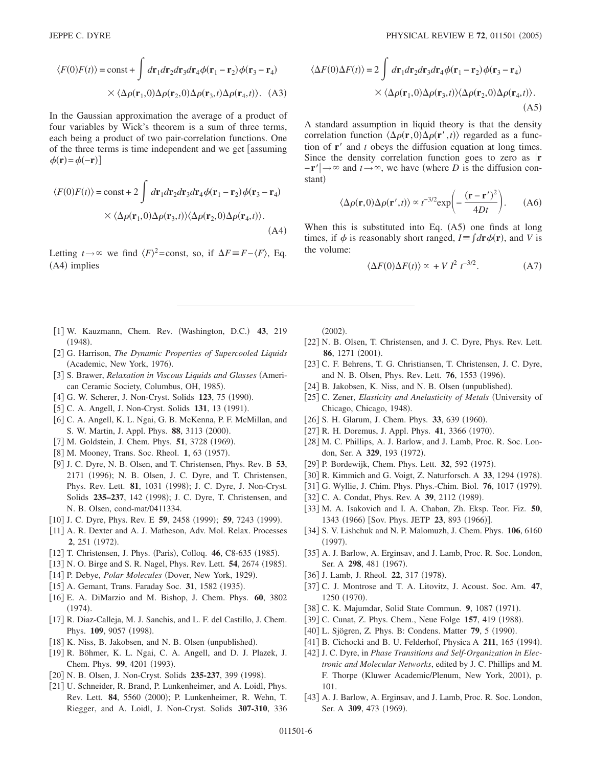$$
\langle F(0)F(t)\rangle = \text{const} + \int d\mathbf{r}_1 d\mathbf{r}_2 d\mathbf{r}_3 d\mathbf{r}_4 \phi(\mathbf{r}_1 - \mathbf{r}_2) \phi(\mathbf{r}_3 - \mathbf{r}_4)
$$

$$
\times \langle \Delta \rho(\mathbf{r}_1, 0) \Delta \rho(\mathbf{r}_2, 0) \Delta \rho(\mathbf{r}_3, t) \Delta \rho(\mathbf{r}_4, t) \rangle. \tag{A3}
$$

In the Gaussian approximation the average of a product of four variables by Wick's theorem is a sum of three terms, each being a product of two pair-correlation functions. One of the three terms is time independent and we get [assuming]  $\phi(\mathbf{r}) = \phi(-\mathbf{r})$ 

$$
\langle F(0)F(t) \rangle = \text{const} + 2 \int d\mathbf{r}_1 d\mathbf{r}_2 d\mathbf{r}_3 d\mathbf{r}_4 \phi(\mathbf{r}_1 - \mathbf{r}_2) \phi(\mathbf{r}_3 - \mathbf{r}_4)
$$
  
 
$$
\times \langle \Delta \rho(\mathbf{r}_1, 0) \Delta \rho(\mathbf{r}_3, t) \rangle \langle \Delta \rho(\mathbf{r}_2, 0) \Delta \rho(\mathbf{r}_4, t) \rangle.
$$
 (A4)

Letting  $t \to \infty$  we find  $\langle F \rangle^2$ =const, so, if  $\Delta F \equiv F - \langle F \rangle$ , Eq. (A4) implies

$$
\langle \Delta F(0) \Delta F(t) \rangle = 2 \int d\mathbf{r}_1 d\mathbf{r}_2 d\mathbf{r}_3 d\mathbf{r}_4 \phi(\mathbf{r}_1 - \mathbf{r}_2) \phi(\mathbf{r}_3 - \mathbf{r}_4)
$$
  
 
$$
\times \langle \Delta \rho(\mathbf{r}_1, 0) \Delta \rho(\mathbf{r}_3, t) \rangle \langle \Delta \rho(\mathbf{r}_2, 0) \Delta \rho(\mathbf{r}_4, t) \rangle.
$$
 (A5)

A standard assumption in liquid theory is that the density correlation function  $\langle \Delta \rho(\mathbf{r},0) \Delta \rho(\mathbf{r}',t) \rangle$  regarded as a function of  $\mathbf{r}'$  and  $t$  obeys the diffusion equation at long times. Since the density correlation function goes to zero as  $\mathbf{r}$  $-\mathbf{r}'$   $\rightarrow \infty$  and  $t \rightarrow \infty$ , we have (where *D* is the diffusion constant)

$$
\langle \Delta \rho(\mathbf{r}, 0) \Delta \rho(\mathbf{r}', t) \rangle \propto t^{-3/2} \exp\left(-\frac{(\mathbf{r} - \mathbf{r}')^2}{4Dt}\right). \tag{A6}
$$

When this is substituted into Eq.  $(A5)$  one finds at long times, if  $\phi$  is reasonably short ranged,  $I = \int d\mathbf{r} \phi(\mathbf{r})$ , and *V* is the volume:

$$
\langle \Delta F(0) \Delta F(t) \rangle \propto + V I^2 t^{-3/2}.
$$
 (A7)

- [1] W. Kauzmann, Chem. Rev. (Washington, D.C.) 43, 219  $(1948).$
- 2 G. Harrison, *The Dynamic Properties of Supercooled Liquids* (Academic, New York, 1976).
- [3] S. Brawer, *Relaxation in Viscous Liquids and Glasses* (American Ceramic Society, Columbus, OH, 1985).
- [4] G. W. Scherer, J. Non-Cryst. Solids 123, 75 (1990).
- [5] C. A. Angell, J. Non-Cryst. Solids 131, 13 (1991).
- [6] C. A. Angell, K. L. Ngai, G. B. McKenna, P. F. McMillan, and S. W. Martin, J. Appl. Phys. 88, 3113 (2000).
- [7] M. Goldstein, J. Chem. Phys. 51, 3728 (1969).
- [8] M. Mooney, Trans. Soc. Rheol. 1, 63 (1957).
- 9 J. C. Dyre, N. B. Olsen, and T. Christensen, Phys. Rev. B **53**, 2171 (1996); N. B. Olsen, J. C. Dyre, and T. Christensen, Phys. Rev. Lett. 81, 1031 (1998); J. C. Dyre, J. Non-Cryst. Solids 235-237, 142 (1998); J. C. Dyre, T. Christensen, and N. B. Olsen, cond-mat/0411334.
- [10] J. C. Dyre, Phys. Rev. E 59, 2458 (1999); 59, 7243 (1999).
- [11] A. R. Dexter and A. J. Matheson, Adv. Mol. Relax. Processes 2, 251 (1972).
- [12] T. Christensen, J. Phys. (Paris), Colloq. 46, C8-635 (1985).
- [13] N. O. Birge and S. R. Nagel, Phys. Rev. Lett. **54**, 2674 (1985).
- [14] P. Debye, *Polar Molecules* (Dover, New York, 1929).
- [15] A. Gemant, Trans. Faraday Soc. 31, 1582 (1935).
- 16 E. A. DiMarzio and M. Bishop, J. Chem. Phys. **60**, 3802  $(1974).$
- [17] R. Diaz-Calleja, M. J. Sanchis, and L. F. del Castillo, J. Chem. Phys. 109, 9057 (1998).
- [18] K. Niss, B. Jakobsen, and N. B. Olsen (unpublished).
- 19 R. Böhmer, K. L. Ngai, C. A. Angell, and D. J. Plazek, J. Chem. Phys. 99, 4201 (1993).
- [20] N. B. Olsen, J. Non-Cryst. Solids 235-237, 399 (1998).
- [21] U. Schneider, R. Brand, P. Lunkenheimer, and A. Loidl, Phys. Rev. Lett. 84, 5560 (2000); P. Lunkenheimer, R. Wehn, T. Riegger, and A. Loidl, J. Non-Cryst. Solids **307-310**, 336

 $(2002).$ 

- [22] N. B. Olsen, T. Christensen, and J. C. Dyre, Phys. Rev. Lett. 86, 1271 (2001).
- 23 C. F. Behrens, T. G. Christiansen, T. Christensen, J. C. Dyre, and N. B. Olsen, Phys. Rev. Lett. **76**, 1553 (1996).
- [24] B. Jakobsen, K. Niss, and N. B. Olsen (unpublished).
- 25 C. Zener, *Elasticity and Anelasticity of Metals* University of Chicago, Chicago, 1948).
- [26] S. H. Glarum, J. Chem. Phys. 33, 639 (1960).
- [27] R. H. Doremus, J. Appl. Phys. 41, 3366 (1970).
- [28] M. C. Phillips, A. J. Barlow, and J. Lamb, Proc. R. Soc. London, Ser. A 329, 193 (1972).
- [29] P. Bordewijk, Chem. Phys. Lett. 32, 592 (1975).
- [30] R. Kimmich and G. Voigt, Z. Naturforsch. A 33, 1294 (1978).
- [31] G. Wyllie, J. Chim. Phys. Phys.-Chim. Biol. 76, 1017 (1979).
- [32] C. A. Condat, Phys. Rev. A 39, 2112 (1989).
- 33 M. A. Isakovich and I. A. Chaban, Zh. Eksp. Teor. Fiz. **50**, 1343 (1966) [Sov. Phys. JETP 23, 893 (1966)].
- [34] S. V. Lishchuk and N. P. Malomuzh, J. Chem. Phys. **106**, 6160  $(1997).$
- [35] A. J. Barlow, A. Erginsav, and J. Lamb, Proc. R. Soc. London, Ser. A 298, 481 (1967).
- [36] J. Lamb, J. Rheol. 22, 317 (1978).
- 37 C. J. Montrose and T. A. Litovitz, J. Acoust. Soc. Am. **47**, 1250 (1970).
- [38] C. K. Majumdar, Solid State Commun. 9, 1087 (1971).
- [39] C. Cunat, Z. Phys. Chem., Neue Folge 157, 419 (1988).
- [40] L. Sjögren, Z. Phys. B: Condens. Matter 79, 5 (1990).
- [41] B. Cichocki and B. U. Felderhof, Physica A 211, 165 (1994).
- 42 J. C. Dyre, in *Phase Transitions and Self-Organization in Electronic and Molecular Networks*, edited by J. C. Phillips and M. F. Thorpe (Kluwer Academic/Plenum, New York, 2001), p. 101.
- [43] A. J. Barlow, A. Erginsav, and J. Lamb, Proc. R. Soc. London, Ser. A 309, 473 (1969).